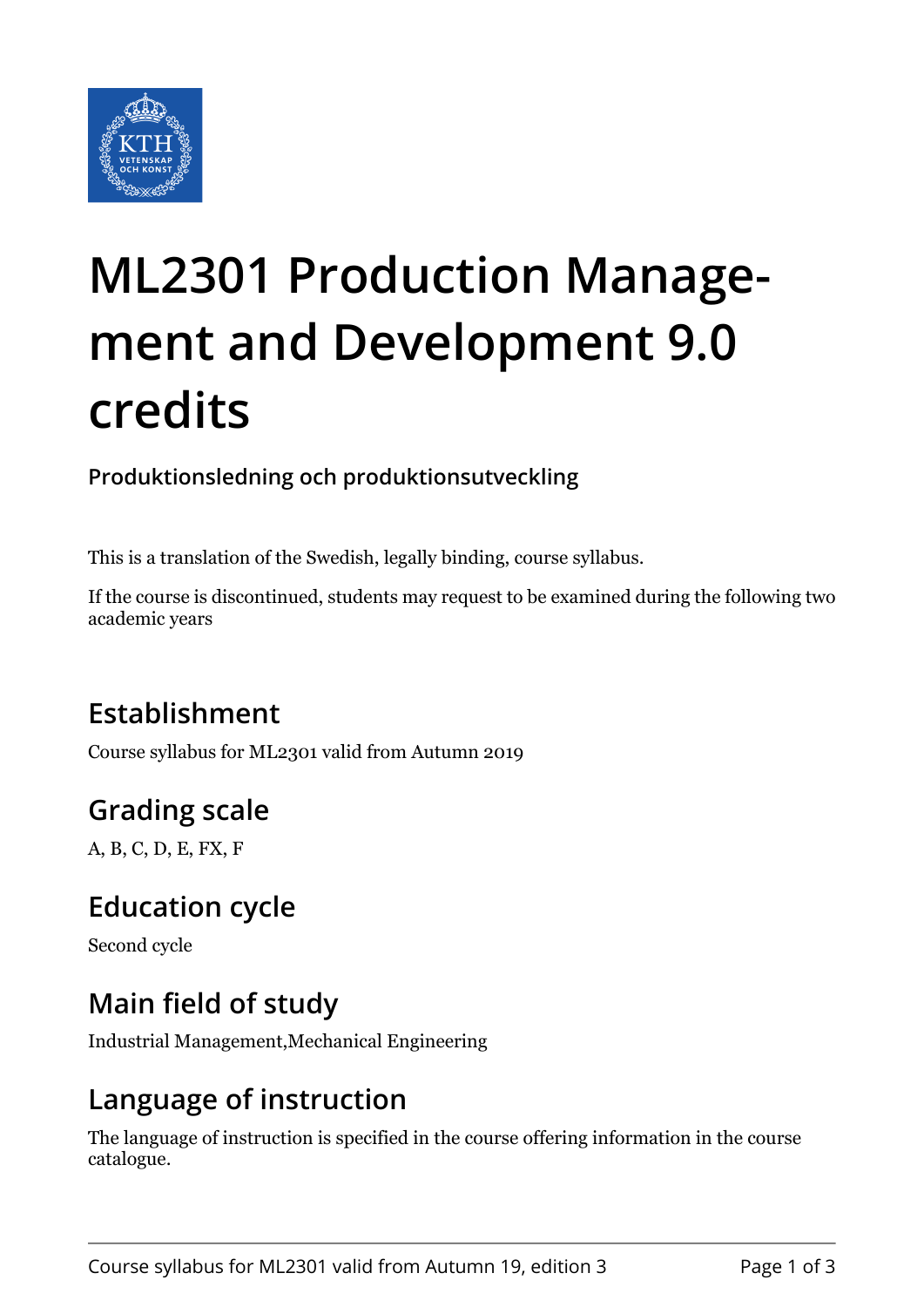

# **ML2301 Production Management and Development 9.0 credits**

**Produktionsledning och produktionsutveckling**

This is a translation of the Swedish, legally binding, course syllabus.

If the course is discontinued, students may request to be examined during the following two academic years

## **Establishment**

Course syllabus for ML2301 valid from Autumn 2019

## **Grading scale**

A, B, C, D, E, FX, F

#### **Education cycle**

Second cycle

#### **Main field of study**

Industrial Management,Mechanical Engineering

#### **Language of instruction**

The language of instruction is specified in the course offering information in the course catalogue.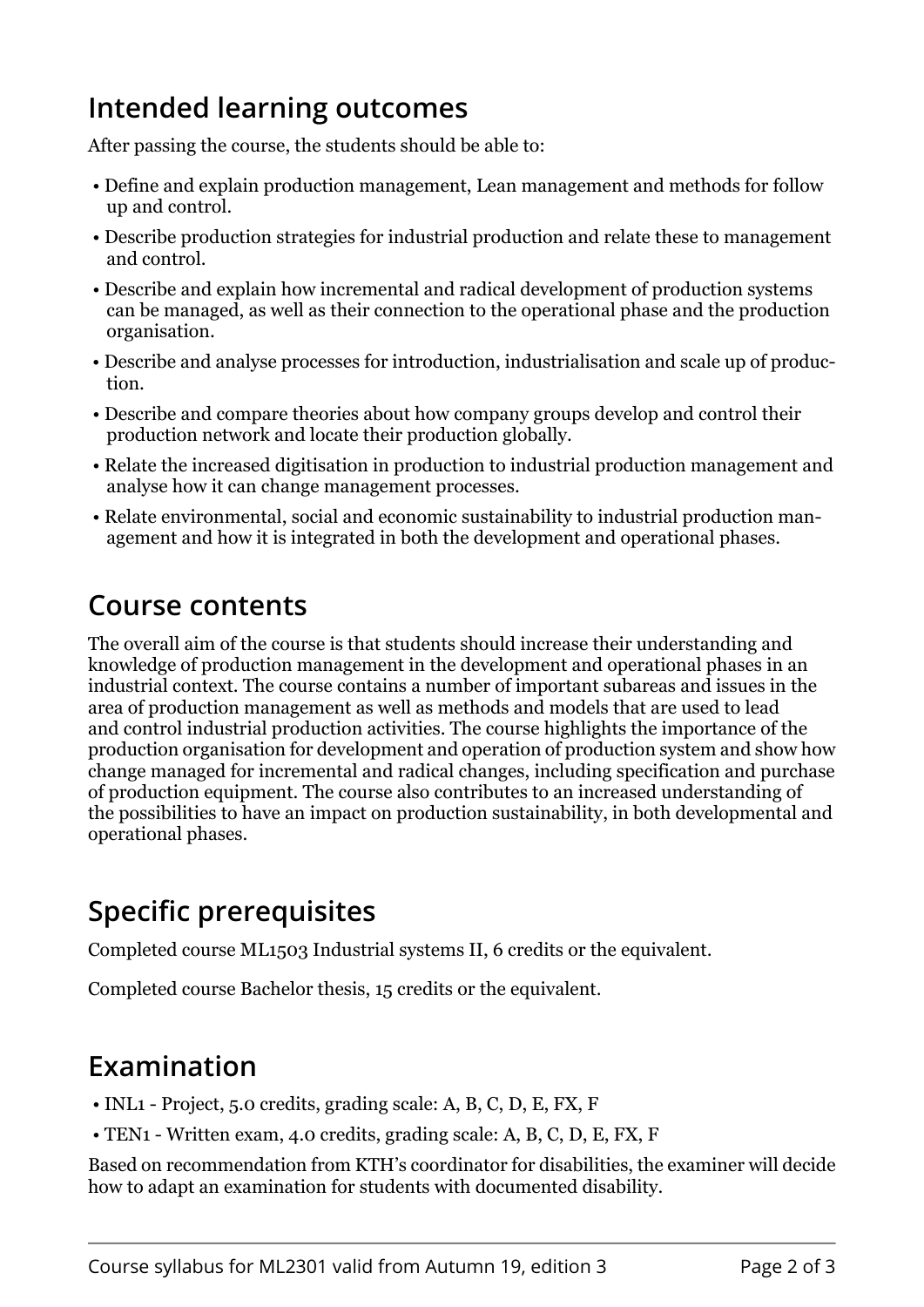#### **Intended learning outcomes**

After passing the course, the students should be able to:

- Define and explain production management, Lean management and methods for follow up and control.
- Describe production strategies for industrial production and relate these to management and control.
- Describe and explain how incremental and radical development of production systems can be managed, as well as their connection to the operational phase and the production organisation.
- Describe and analyse processes for introduction, industrialisation and scale up of production.
- Describe and compare theories about how company groups develop and control their production network and locate their production globally.
- Relate the increased digitisation in production to industrial production management and analyse how it can change management processes.
- Relate environmental, social and economic sustainability to industrial production management and how it is integrated in both the development and operational phases.

### **Course contents**

The overall aim of the course is that students should increase their understanding and knowledge of production management in the development and operational phases in an industrial context. The course contains a number of important subareas and issues in the area of production management as well as methods and models that are used to lead and control industrial production activities. The course highlights the importance of the production organisation for development and operation of production system and show how change managed for incremental and radical changes, including specification and purchase of production equipment. The course also contributes to an increased understanding of the possibilities to have an impact on production sustainability, in both developmental and operational phases.

#### **Specific prerequisites**

Completed course ML1503 Industrial systems II, 6 credits or the equivalent.

Completed course Bachelor thesis, 15 credits or the equivalent.

#### **Examination**

- INL1 Project, 5.0 credits, grading scale: A, B, C, D, E, FX, F
- TEN1 Written exam, 4.0 credits, grading scale: A, B, C, D, E, FX, F

Based on recommendation from KTH's coordinator for disabilities, the examiner will decide how to adapt an examination for students with documented disability.